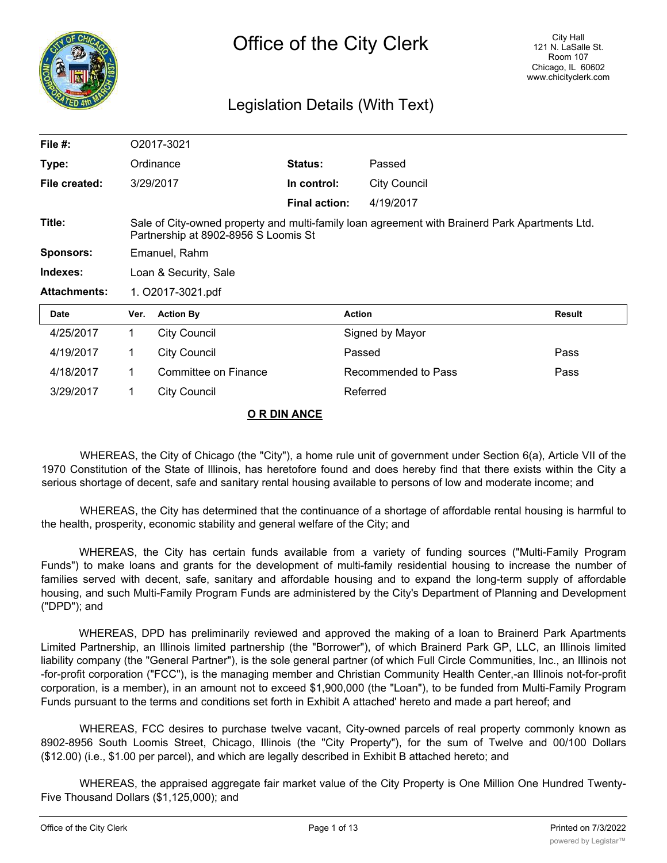

# Legislation Details (With Text)

| File $#$ :          |                                                                                                                                        | O2017-3021           |                      |                     |               |
|---------------------|----------------------------------------------------------------------------------------------------------------------------------------|----------------------|----------------------|---------------------|---------------|
| Type:               |                                                                                                                                        | Ordinance            | <b>Status:</b>       | Passed              |               |
| File created:       |                                                                                                                                        | 3/29/2017            | In control:          | <b>City Council</b> |               |
|                     |                                                                                                                                        |                      | <b>Final action:</b> | 4/19/2017           |               |
| Title:              | Sale of City-owned property and multi-family loan agreement with Brainerd Park Apartments Ltd.<br>Partnership at 8902-8956 S Loomis St |                      |                      |                     |               |
| <b>Sponsors:</b>    | Emanuel, Rahm                                                                                                                          |                      |                      |                     |               |
| Indexes:            | Loan & Security, Sale                                                                                                                  |                      |                      |                     |               |
| <b>Attachments:</b> | 1. O2017-3021.pdf                                                                                                                      |                      |                      |                     |               |
| <b>Date</b>         | Ver.                                                                                                                                   | <b>Action By</b>     |                      | <b>Action</b>       | <b>Result</b> |
| 4/25/2017           | $\mathbf{1}$                                                                                                                           | <b>City Council</b>  |                      | Signed by Mayor     |               |
| 4/19/2017           | 1                                                                                                                                      | <b>City Council</b>  |                      | Passed              | Pass          |
| 4/18/2017           | 1                                                                                                                                      | Committee on Finance |                      | Recommended to Pass | Pass          |
| 3/29/2017           | 1                                                                                                                                      | <b>City Council</b>  |                      | Referred            |               |
|                     |                                                                                                                                        |                      | O R DIN ANCE         |                     |               |

WHEREAS, the City of Chicago (the "City"), a home rule unit of government under Section 6(a), Article VII of the 1970 Constitution of the State of Illinois, has heretofore found and does hereby find that there exists within the City a serious shortage of decent, safe and sanitary rental housing available to persons of low and moderate income; and

WHEREAS, the City has determined that the continuance of a shortage of affordable rental housing is harmful to the health, prosperity, economic stability and general welfare of the City; and

WHEREAS, the City has certain funds available from a variety of funding sources ("Multi-Family Program Funds") to make loans and grants for the development of multi-family residential housing to increase the number of families served with decent, safe, sanitary and affordable housing and to expand the long-term supply of affordable housing, and such Multi-Family Program Funds are administered by the City's Department of Planning and Development ("DPD"); and

WHEREAS, DPD has preliminarily reviewed and approved the making of a loan to Brainerd Park Apartments Limited Partnership, an Illinois limited partnership (the "Borrower"), of which Brainerd Park GP, LLC, an Illinois limited liability company (the "General Partner"), is the sole general partner (of which Full Circle Communities, Inc., an Illinois not -for-profit corporation ("FCC"), is the managing member and Christian Community Health Center,-an Illinois not-for-profit corporation, is a member), in an amount not to exceed \$1,900,000 (the "Loan"), to be funded from Multi-Family Program Funds pursuant to the terms and conditions set forth in Exhibit A attached' hereto and made a part hereof; and

WHEREAS, FCC desires to purchase twelve vacant, City-owned parcels of real property commonly known as 8902-8956 South Loomis Street, Chicago, Illinois (the "City Property"), for the sum of Twelve and 00/100 Dollars (\$12.00) (i.e., \$1.00 per parcel), and which are legally described in Exhibit B attached hereto; and

WHEREAS, the appraised aggregate fair market value of the City Property is One Million One Hundred Twenty-Five Thousand Dollars (\$1,125,000); and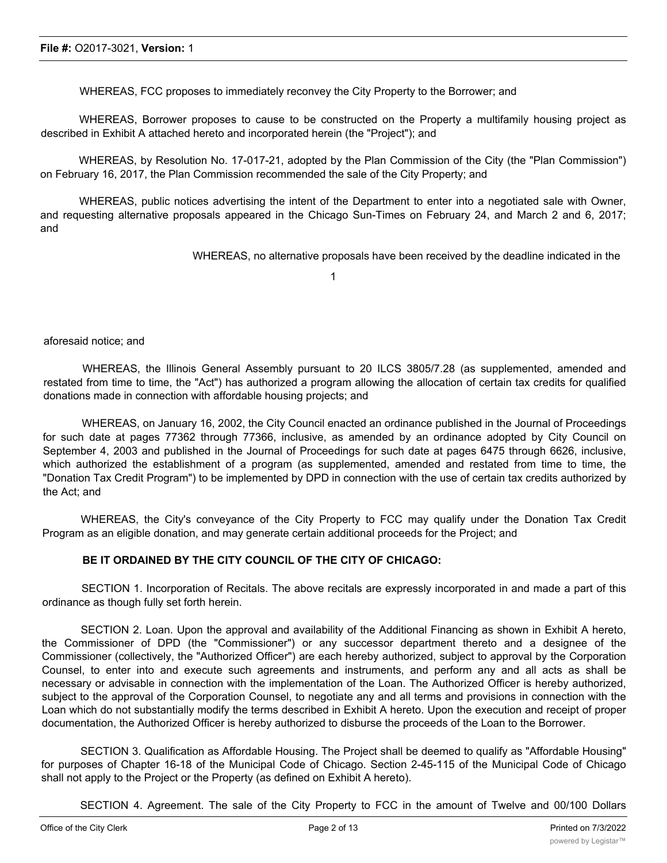WHEREAS, FCC proposes to immediately reconvey the City Property to the Borrower; and

WHEREAS, Borrower proposes to cause to be constructed on the Property a multifamily housing project as described in Exhibit A attached hereto and incorporated herein (the "Project"); and

WHEREAS, by Resolution No. 17-017-21, adopted by the Plan Commission of the City (the "Plan Commission") on February 16, 2017, the Plan Commission recommended the sale of the City Property; and

WHEREAS, public notices advertising the intent of the Department to enter into a negotiated sale with Owner, and requesting alternative proposals appeared in the Chicago Sun-Times on February 24, and March 2 and 6, 2017; and

WHEREAS, no alternative proposals have been received by the deadline indicated in the

1

aforesaid notice; and

WHEREAS, the Illinois General Assembly pursuant to 20 ILCS 3805/7.28 (as supplemented, amended and restated from time to time, the "Act") has authorized a program allowing the allocation of certain tax credits for qualified donations made in connection with affordable housing projects; and

WHEREAS, on January 16, 2002, the City Council enacted an ordinance published in the Journal of Proceedings for such date at pages 77362 through 77366, inclusive, as amended by an ordinance adopted by City Council on September 4, 2003 and published in the Journal of Proceedings for such date at pages 6475 through 6626, inclusive, which authorized the establishment of a program (as supplemented, amended and restated from time to time, the "Donation Tax Credit Program") to be implemented by DPD in connection with the use of certain tax credits authorized by the Act; and

WHEREAS, the City's conveyance of the City Property to FCC may qualify under the Donation Tax Credit Program as an eligible donation, and may generate certain additional proceeds for the Project; and

#### **BE IT ORDAINED BY THE CITY COUNCIL OF THE CITY OF CHICAGO:**

SECTION 1. Incorporation of Recitals. The above recitals are expressly incorporated in and made a part of this ordinance as though fully set forth herein.

SECTION 2. Loan. Upon the approval and availability of the Additional Financing as shown in Exhibit A hereto, the Commissioner of DPD (the "Commissioner") or any successor department thereto and a designee of the Commissioner (collectively, the "Authorized Officer") are each hereby authorized, subject to approval by the Corporation Counsel, to enter into and execute such agreements and instruments, and perform any and all acts as shall be necessary or advisable in connection with the implementation of the Loan. The Authorized Officer is hereby authorized, subject to the approval of the Corporation Counsel, to negotiate any and all terms and provisions in connection with the Loan which do not substantially modify the terms described in Exhibit A hereto. Upon the execution and receipt of proper documentation, the Authorized Officer is hereby authorized to disburse the proceeds of the Loan to the Borrower.

SECTION 3. Qualification as Affordable Housing. The Project shall be deemed to qualify as "Affordable Housing" for purposes of Chapter 16-18 of the Municipal Code of Chicago. Section 2-45-115 of the Municipal Code of Chicago shall not apply to the Project or the Property (as defined on Exhibit A hereto).

SECTION 4. Agreement. The sale of the City Property to FCC in the amount of Twelve and 00/100 Dollars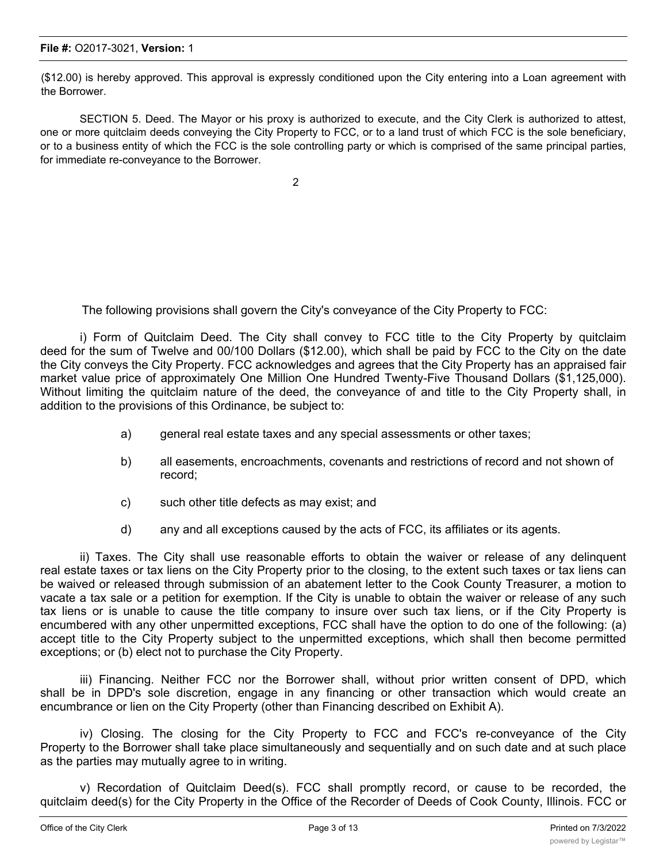(\$12.00) is hereby approved. This approval is expressly conditioned upon the City entering into a Loan agreement with the Borrower.

SECTION 5. Deed. The Mayor or his proxy is authorized to execute, and the City Clerk is authorized to attest, one or more quitclaim deeds conveying the City Property to FCC, or to a land trust of which FCC is the sole beneficiary, or to a business entity of which the FCC is the sole controlling party or which is comprised of the same principal parties, for immediate re-conveyance to the Borrower.

2

The following provisions shall govern the City's conveyance of the City Property to FCC:

i) Form of Quitclaim Deed. The City shall convey to FCC title to the City Property by quitclaim deed for the sum of Twelve and 00/100 Dollars (\$12.00), which shall be paid by FCC to the City on the date the City conveys the City Property. FCC acknowledges and agrees that the City Property has an appraised fair market value price of approximately One Million One Hundred Twenty-Five Thousand Dollars (\$1,125,000). Without limiting the quitclaim nature of the deed, the conveyance of and title to the City Property shall, in addition to the provisions of this Ordinance, be subject to:

- a) general real estate taxes and any special assessments or other taxes;
- b) all easements, encroachments, covenants and restrictions of record and not shown of record;
- c) such other title defects as may exist; and
- d) any and all exceptions caused by the acts of FCC, its affiliates or its agents.

ii) Taxes. The City shall use reasonable efforts to obtain the waiver or release of any delinquent real estate taxes or tax liens on the City Property prior to the closing, to the extent such taxes or tax liens can be waived or released through submission of an abatement letter to the Cook County Treasurer, a motion to vacate a tax sale or a petition for exemption. If the City is unable to obtain the waiver or release of any such tax liens or is unable to cause the title company to insure over such tax liens, or if the City Property is encumbered with any other unpermitted exceptions, FCC shall have the option to do one of the following: (a) accept title to the City Property subject to the unpermitted exceptions, which shall then become permitted exceptions; or (b) elect not to purchase the City Property.

iii) Financing. Neither FCC nor the Borrower shall, without prior written consent of DPD, which shall be in DPD's sole discretion, engage in any financing or other transaction which would create an encumbrance or lien on the City Property (other than Financing described on Exhibit A).

iv) Closing. The closing for the City Property to FCC and FCC's re-conveyance of the City Property to the Borrower shall take place simultaneously and sequentially and on such date and at such place as the parties may mutually agree to in writing.

v) Recordation of Quitclaim Deed(s). FCC shall promptly record, or cause to be recorded, the quitclaim deed(s) for the City Property in the Office of the Recorder of Deeds of Cook County, Illinois. FCC or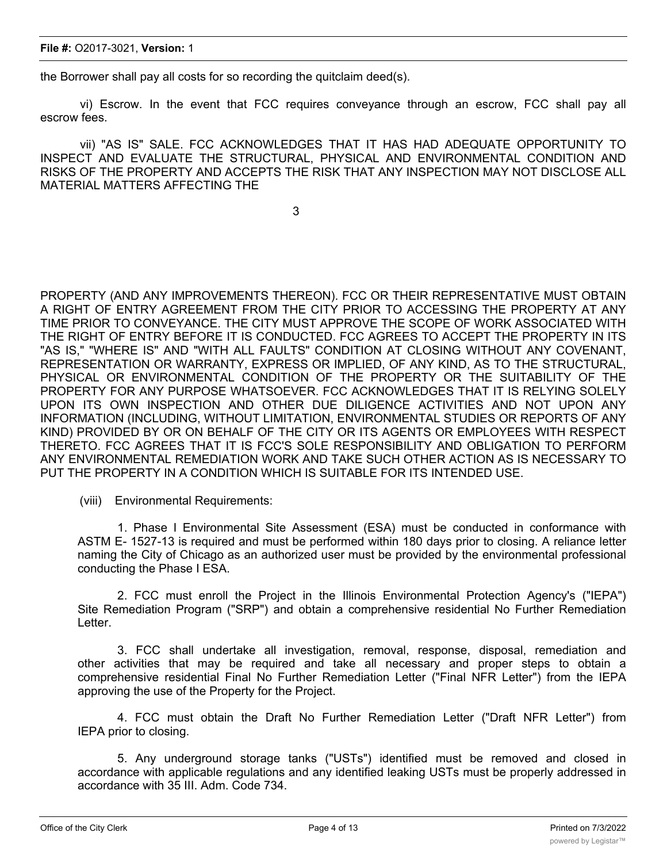the Borrower shall pay all costs for so recording the quitclaim deed(s).

vi) Escrow. In the event that FCC requires conveyance through an escrow, FCC shall pay all escrow fees.

vii) "AS IS" SALE. FCC ACKNOWLEDGES THAT IT HAS HAD ADEQUATE OPPORTUNITY TO INSPECT AND EVALUATE THE STRUCTURAL, PHYSICAL AND ENVIRONMENTAL CONDITION AND RISKS OF THE PROPERTY AND ACCEPTS THE RISK THAT ANY INSPECTION MAY NOT DISCLOSE ALL MATERIAL MATTERS AFFECTING THE

3

PROPERTY (AND ANY IMPROVEMENTS THEREON). FCC OR THEIR REPRESENTATIVE MUST OBTAIN A RIGHT OF ENTRY AGREEMENT FROM THE CITY PRIOR TO ACCESSING THE PROPERTY AT ANY TIME PRIOR TO CONVEYANCE. THE CITY MUST APPROVE THE SCOPE OF WORK ASSOCIATED WITH THE RIGHT OF ENTRY BEFORE IT IS CONDUCTED. FCC AGREES TO ACCEPT THE PROPERTY IN ITS "AS IS," "WHERE IS" AND "WITH ALL FAULTS" CONDITION AT CLOSING WITHOUT ANY COVENANT, REPRESENTATION OR WARRANTY, EXPRESS OR IMPLIED, OF ANY KIND, AS TO THE STRUCTURAL, PHYSICAL OR ENVIRONMENTAL CONDITION OF THE PROPERTY OR THE SUITABILITY OF THE PROPERTY FOR ANY PURPOSE WHATSOEVER. FCC ACKNOWLEDGES THAT IT IS RELYING SOLELY UPON ITS OWN INSPECTION AND OTHER DUE DILIGENCE ACTIVITIES AND NOT UPON ANY INFORMATION (INCLUDING, WITHOUT LIMITATION, ENVIRONMENTAL STUDIES OR REPORTS OF ANY KIND) PROVIDED BY OR ON BEHALF OF THE CITY OR ITS AGENTS OR EMPLOYEES WITH RESPECT THERETO. FCC AGREES THAT IT IS FCC'S SOLE RESPONSIBILITY AND OBLIGATION TO PERFORM ANY ENVIRONMENTAL REMEDIATION WORK AND TAKE SUCH OTHER ACTION AS IS NECESSARY TO PUT THE PROPERTY IN A CONDITION WHICH IS SUITABLE FOR ITS INTENDED USE.

(viii) Environmental Requirements:

1. Phase I Environmental Site Assessment (ESA) must be conducted in conformance with ASTM E- 1527-13 is required and must be performed within 180 days prior to closing. A reliance letter naming the City of Chicago as an authorized user must be provided by the environmental professional conducting the Phase I ESA.

2. FCC must enroll the Project in the Illinois Environmental Protection Agency's ("IEPA") Site Remediation Program ("SRP") and obtain a comprehensive residential No Further Remediation Letter.

3. FCC shall undertake all investigation, removal, response, disposal, remediation and other activities that may be required and take all necessary and proper steps to obtain a comprehensive residential Final No Further Remediation Letter ("Final NFR Letter") from the IEPA approving the use of the Property for the Project.

4. FCC must obtain the Draft No Further Remediation Letter ("Draft NFR Letter") from IEPA prior to closing.

5. Any underground storage tanks ("USTs") identified must be removed and closed in accordance with applicable regulations and any identified leaking USTs must be properly addressed in accordance with 35 III. Adm. Code 734.

 $\mathcal{L}_{\mathcal{A}}$  shall be solved for all site preparation,  $\mathcal{L}_{\mathcal{A}}$  and environmental environmental environmental environmental environmental environmental environmental environmental environmental environmental envir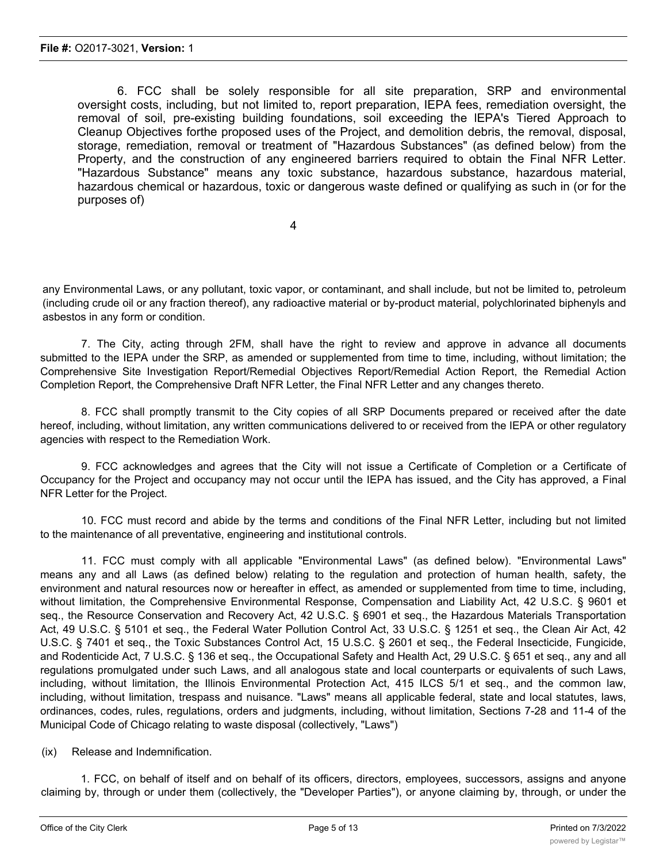6. FCC shall be solely responsible for all site preparation, SRP and environmental oversight costs, including, but not limited to, report preparation, IEPA fees, remediation oversight, the removal of soil, pre-existing building foundations, soil exceeding the lEPA's Tiered Approach to Cleanup Objectives forthe proposed uses of the Project, and demolition debris, the removal, disposal, storage, remediation, removal or treatment of "Hazardous Substances" (as defined below) from the Property, and the construction of any engineered barriers required to obtain the Final NFR Letter. "Hazardous Substance" means any toxic substance, hazardous substance, hazardous material, hazardous chemical or hazardous, toxic or dangerous waste defined or qualifying as such in (or for the purposes of)

4

any Environmental Laws, or any pollutant, toxic vapor, or contaminant, and shall include, but not be limited to, petroleum (including crude oil or any fraction thereof), any radioactive material or by-product material, polychlorinated biphenyls and asbestos in any form or condition.

7. The City, acting through 2FM, shall have the right to review and approve in advance all documents submitted to the IEPA under the SRP, as amended or supplemented from time to time, including, without limitation; the Comprehensive Site Investigation Report/Remedial Objectives Report/Remedial Action Report, the Remedial Action Completion Report, the Comprehensive Draft NFR Letter, the Final NFR Letter and any changes thereto.

8. FCC shall promptly transmit to the City copies of all SRP Documents prepared or received after the date hereof, including, without limitation, any written communications delivered to or received from the IEPA or other regulatory agencies with respect to the Remediation Work.

9. FCC acknowledges and agrees that the City will not issue a Certificate of Completion or a Certificate of Occupancy for the Project and occupancy may not occur until the IEPA has issued, and the City has approved, a Final NFR Letter for the Project.

10. FCC must record and abide by the terms and conditions of the Final NFR Letter, including but not limited to the maintenance of all preventative, engineering and institutional controls.

11. FCC must comply with all applicable "Environmental Laws" (as defined below). "Environmental Laws" means any and all Laws (as defined below) relating to the regulation and protection of human health, safety, the environment and natural resources now or hereafter in effect, as amended or supplemented from time to time, including, without limitation, the Comprehensive Environmental Response, Compensation and Liability Act, 42 U.S.C. § 9601 et seq., the Resource Conservation and Recovery Act, 42 U.S.C. § 6901 et seq., the Hazardous Materials Transportation Act, 49 U.S.C. § 5101 et seq., the Federal Water Pollution Control Act, 33 U.S.C. § 1251 et seq., the Clean Air Act, 42 U.S.C. § 7401 et seq., the Toxic Substances Control Act, 15 U.S.C. § 2601 et seq., the Federal Insecticide, Fungicide, and Rodenticide Act, 7 U.S.C. § 136 et seq., the Occupational Safety and Health Act, 29 U.S.C. § 651 et seq., any and all regulations promulgated under such Laws, and all analogous state and local counterparts or equivalents of such Laws, including, without limitation, the Illinois Environmental Protection Act, 415 ILCS 5/1 et seq., and the common law, including, without limitation, trespass and nuisance. "Laws" means all applicable federal, state and local statutes, laws, ordinances, codes, rules, regulations, orders and judgments, including, without limitation, Sections 7-28 and 11-4 of the Municipal Code of Chicago relating to waste disposal (collectively, "Laws")

(ix) Release and Indemnification.

1. FCC, on behalf of itself and on behalf of its officers, directors, employees, successors, assigns and anyone claiming by, through or under them (collectively, the "Developer Parties"), or anyone claiming by, through, or under the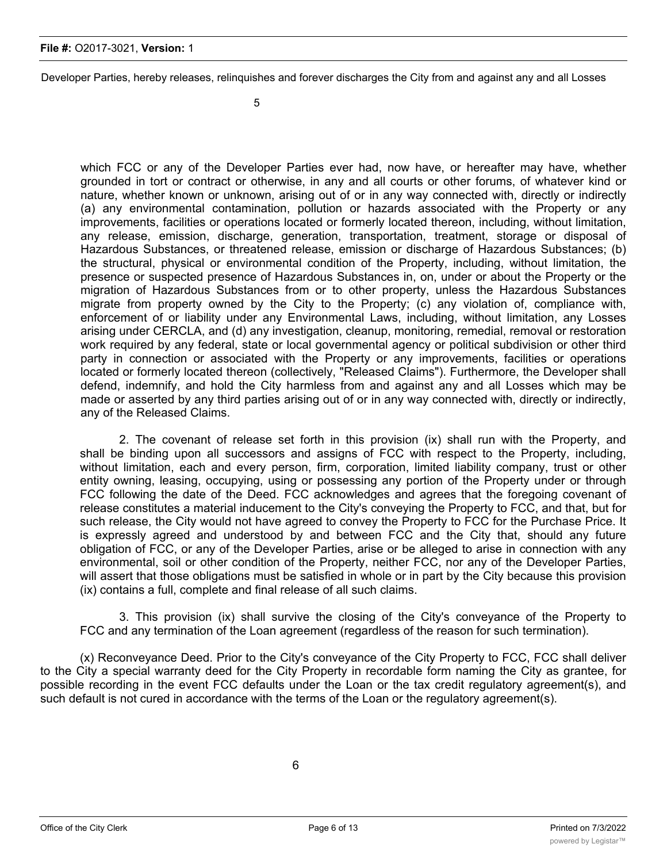#### **File #:** O2017-3021, **Version:** 1

Developer Parties, hereby releases, relinquishes and forever discharges the City from and against any and all Losses

which FCC or any of the Developer Parties ever had, now have, or hereafter may have, whether grounded in tort or contract or otherwise, in any and all courts or other forums, of whatever kind or nature, whether known or unknown, arising out of or in any way connected with, directly or indirectly (a) any environmental contamination, pollution or hazards associated with the Property or any improvements, facilities or operations located or formerly located thereon, including, without limitation, any release, emission, discharge, generation, transportation, treatment, storage or disposal of Hazardous Substances, or threatened release, emission or discharge of Hazardous Substances; (b) the structural, physical or environmental condition of the Property, including, without limitation, the presence or suspected presence of Hazardous Substances in, on, under or about the Property or the migration of Hazardous Substances from or to other property, unless the Hazardous Substances migrate from property owned by the City to the Property; (c) any violation of, compliance with, enforcement of or liability under any Environmental Laws, including, without limitation, any Losses arising under CERCLA, and (d) any investigation, cleanup, monitoring, remedial, removal or restoration work required by any federal, state or local governmental agency or political subdivision or other third party in connection or associated with the Property or any improvements, facilities or operations located or formerly located thereon (collectively, "Released Claims"). Furthermore, the Developer shall defend, indemnify, and hold the City harmless from and against any and all Losses which may be made or asserted by any third parties arising out of or in any way connected with, directly or indirectly, any of the Released Claims.

2. The covenant of release set forth in this provision (ix) shall run with the Property, and shall be binding upon all successors and assigns of FCC with respect to the Property, including, without limitation, each and every person, firm, corporation, limited liability company, trust or other entity owning, leasing, occupying, using or possessing any portion of the Property under or through FCC following the date of the Deed. FCC acknowledges and agrees that the foregoing covenant of release constitutes a material inducement to the City's conveying the Property to FCC, and that, but for such release, the City would not have agreed to convey the Property to FCC for the Purchase Price. It is expressly agreed and understood by and between FCC and the City that, should any future obligation of FCC, or any of the Developer Parties, arise or be alleged to arise in connection with any environmental, soil or other condition of the Property, neither FCC, nor any of the Developer Parties, will assert that those obligations must be satisfied in whole or in part by the City because this provision (ix) contains a full, complete and final release of all such claims.

3. This provision (ix) shall survive the closing of the City's conveyance of the Property to FCC and any termination of the Loan agreement (regardless of the reason for such termination).

(x) Reconveyance Deed. Prior to the City's conveyance of the City Property to FCC, FCC shall deliver to the City a special warranty deed for the City Property in recordable form naming the City as grantee, for possible recording in the event FCC defaults under the Loan or the tax credit regulatory agreement(s), and such default is not cured in accordance with the terms of the Loan or the regulatory agreement(s).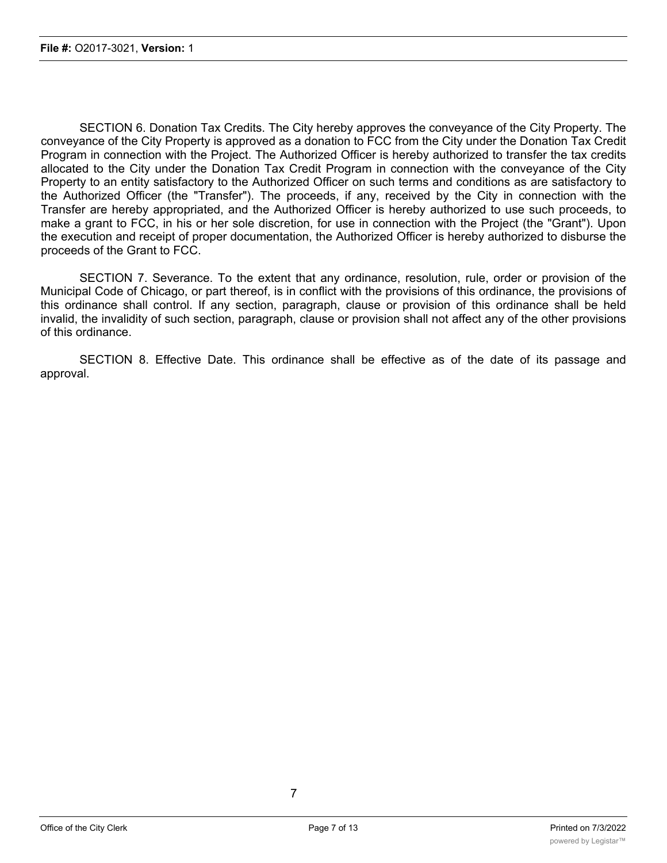SECTION 6. Donation Tax Credits. The City hereby approves the conveyance of the City Property. The conveyance of the City Property is approved as a donation to FCC from the City under the Donation Tax Credit Program in connection with the Project. The Authorized Officer is hereby authorized to transfer the tax credits allocated to the City under the Donation Tax Credit Program in connection with the conveyance of the City Property to an entity satisfactory to the Authorized Officer on such terms and conditions as are satisfactory to the Authorized Officer (the "Transfer"). The proceeds, if any, received by the City in connection with the Transfer are hereby appropriated, and the Authorized Officer is hereby authorized to use such proceeds, to make a grant to FCC, in his or her sole discretion, for use in connection with the Project (the "Grant"). Upon the execution and receipt of proper documentation, the Authorized Officer is hereby authorized to disburse the proceeds of the Grant to FCC.

SECTION 7. Severance. To the extent that any ordinance, resolution, rule, order or provision of the Municipal Code of Chicago, or part thereof, is in conflict with the provisions of this ordinance, the provisions of this ordinance shall control. If any section, paragraph, clause or provision of this ordinance shall be held invalid, the invalidity of such section, paragraph, clause or provision shall not affect any of the other provisions of this ordinance.

SECTION 8. Effective Date. This ordinance shall be effective as of the date of its passage and approval.

7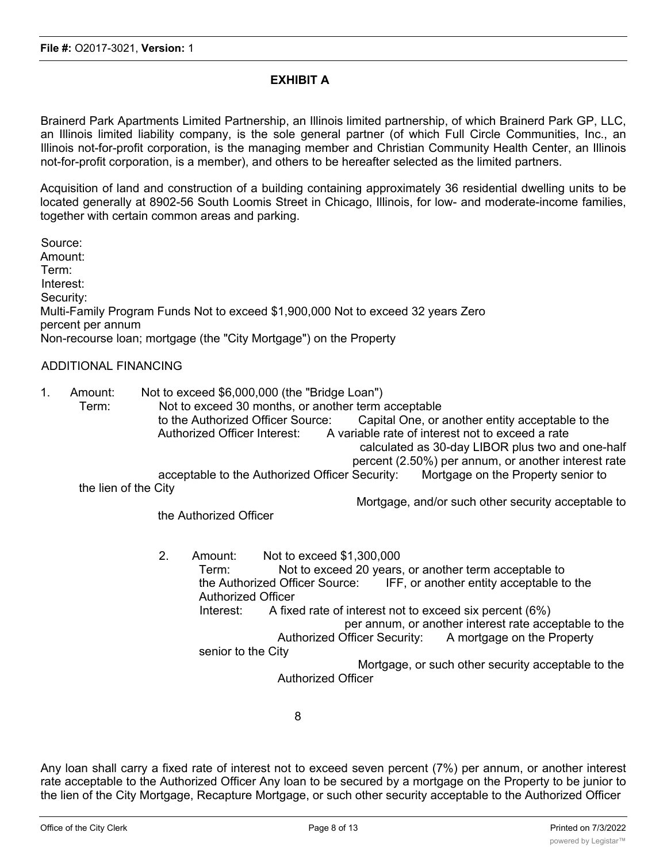## **EXHIBIT A**

Brainerd Park Apartments Limited Partnership, an Illinois limited partnership, of which Brainerd Park GP, LLC, an Illinois limited liability company, is the sole general partner (of which Full Circle Communities, Inc., an Illinois not-for-profit corporation, is the managing member and Christian Community Health Center, an Illinois not-for-profit corporation, is a member), and others to be hereafter selected as the limited partners.

Acquisition of land and construction of a building containing approximately 36 residential dwelling units to be located generally at 8902-56 South Loomis Street in Chicago, Illinois, for low- and moderate-income families, together with certain common areas and parking.

Source: Amount: Term: Interest: Security: Multi-Family Program Funds Not to exceed \$1,900,000 Not to exceed 32 years Zero percent per annum Non-recourse loan; mortgage (the "City Mortgage") on the Property

### ADDITIONAL FINANCING

| 1. | Amount:<br>Term:     | Not to exceed \$6,000,000 (the "Bridge Loan")<br>Not to exceed 30 months, or another term acceptable |  |  |
|----|----------------------|------------------------------------------------------------------------------------------------------|--|--|
|    |                      | Capital One, or another entity acceptable to the<br>to the Authorized Officer Source:                |  |  |
|    |                      | A variable rate of interest not to exceed a rate<br>Authorized Officer Interest:                     |  |  |
|    |                      | calculated as 30-day LIBOR plus two and one-half                                                     |  |  |
|    |                      | percent (2.50%) per annum, or another interest rate                                                  |  |  |
|    |                      | acceptable to the Authorized Officer Security:<br>Mortgage on the Property senior to                 |  |  |
|    | the lien of the City |                                                                                                      |  |  |
|    |                      | Mortgage, and/or such other security acceptable to                                                   |  |  |

the Authorized Officer

2. Amount: Not to exceed \$1,300,000 Term: Not to exceed 20 years, or another term acceptable to the Authorized Officer Source: IFF, or another entity acceptable to the Authorized Officer Interest: A fixed rate of interest not to exceed six percent (6%) per annum, or another interest rate acceptable to the Authorized Officer Security: A mortgage on the Property senior to the City Mortgage, or such other security acceptable to the Authorized Officer

8

Any loan shall carry a fixed rate of interest not to exceed seven percent (7%) per annum, or another interest rate acceptable to the Authorized Officer Any loan to be secured by a mortgage on the Property to be junior to the lien of the City Mortgage, Recapture Mortgage, or such other security acceptable to the Authorized Officer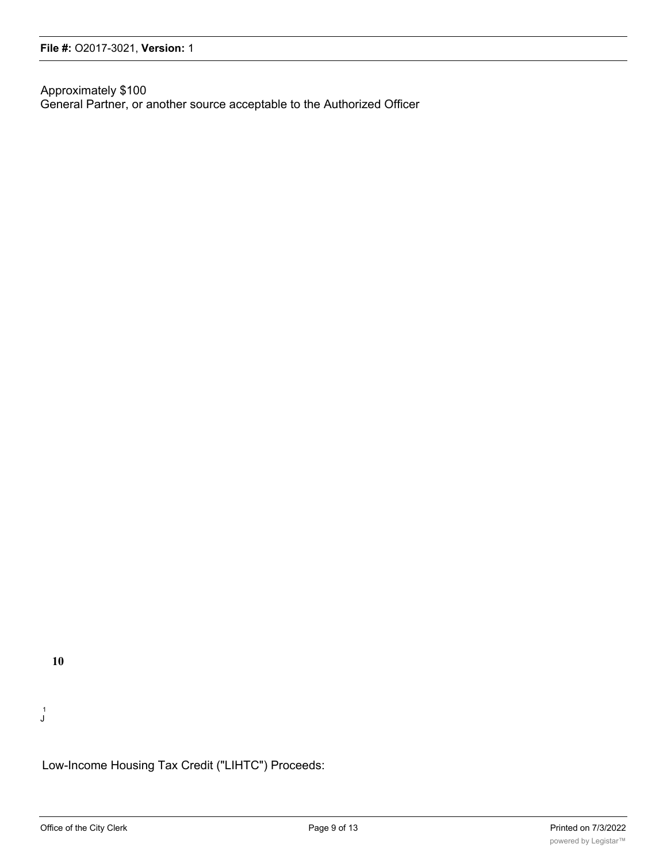Approximately \$100 General Partner, or another source acceptable to the Authorized Officer

**10**

1 J

Low-Income Housing Tax Credit ("LIHTC") Proceeds: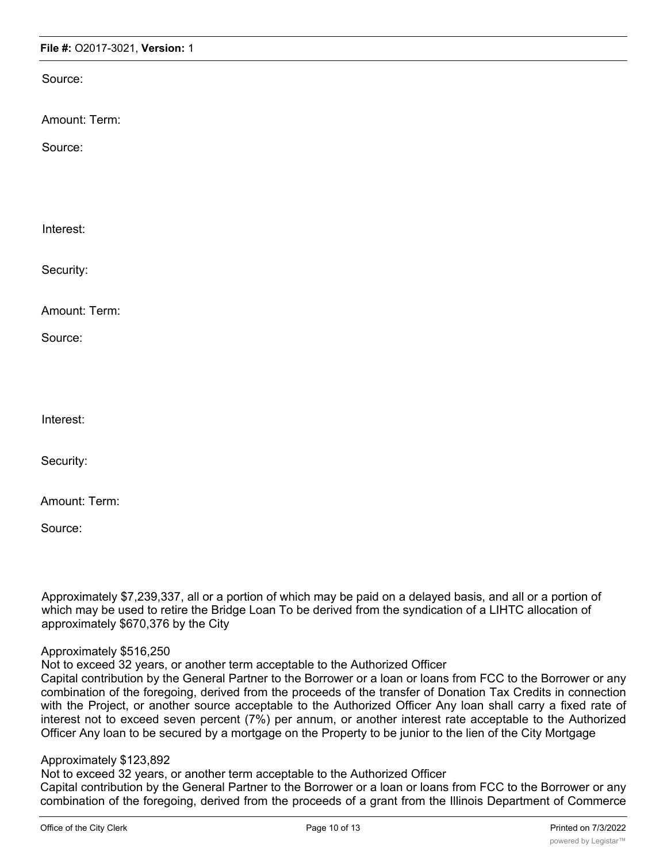### **File #:** O2017-3021, **Version:** 1

Source:

Amount: Term:

Source:

Interest:

Security:

Amount: Term:

Source:

Interest:

Security:

Amount: Term:

Source:

Approximately \$7,239,337, all or a portion of which may be paid on a delayed basis, and all or a portion of which may be used to retire the Bridge Loan To be derived from the syndication of a LIHTC allocation of approximately \$670,376 by the City

#### Approximately \$516,250

Not to exceed 32 years, or another term acceptable to the Authorized Officer

Capital contribution by the General Partner to the Borrower or a loan or loans from FCC to the Borrower or any combination of the foregoing, derived from the proceeds of the transfer of Donation Tax Credits in connection with the Project, or another source acceptable to the Authorized Officer Any loan shall carry a fixed rate of interest not to exceed seven percent (7%) per annum, or another interest rate acceptable to the Authorized Officer Any loan to be secured by a mortgage on the Property to be junior to the lien of the City Mortgage

## Approximately \$123,892

Not to exceed 32 years, or another term acceptable to the Authorized Officer Capital contribution by the General Partner to the Borrower or a loan or loans from FCC to the Borrower or any combination of the foregoing, derived from the proceeds of a grant from the Illinois Department of Commerce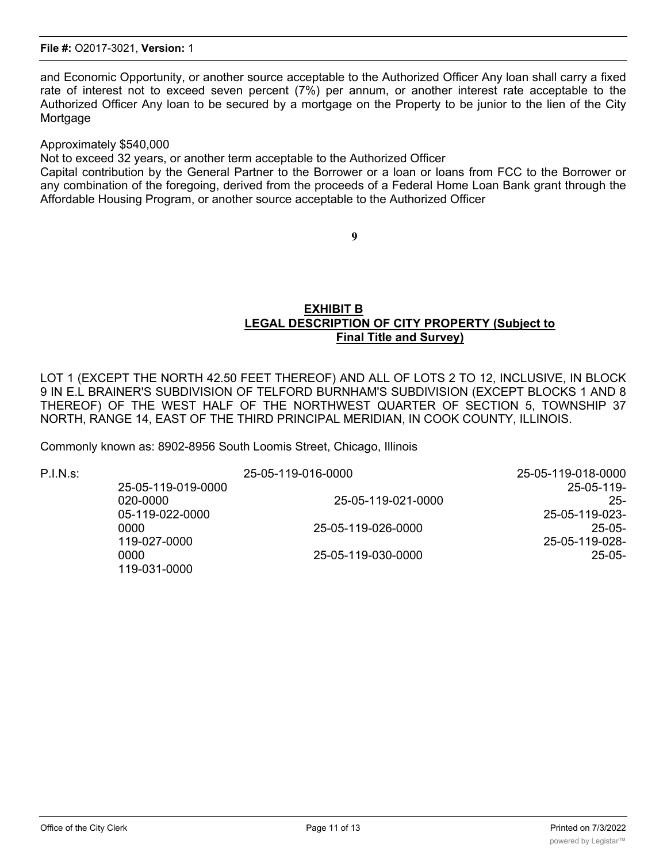and Economic Opportunity, or another source acceptable to the Authorized Officer Any loan shall carry a fixed rate of interest not to exceed seven percent (7%) per annum, or another interest rate acceptable to the Authorized Officer Any loan to be secured by a mortgage on the Property to be junior to the lien of the City **Mortgage** 

Approximately \$540,000

Not to exceed 32 years, or another term acceptable to the Authorized Officer

Capital contribution by the General Partner to the Borrower or a loan or loans from FCC to the Borrower or any combination of the foregoing, derived from the proceeds of a Federal Home Loan Bank grant through the Affordable Housing Program, or another source acceptable to the Authorized Officer

**9**

### **EXHIBIT B LEGAL DESCRIPTION OF CITY PROPERTY (Subject to Final Title and Survey)**

LOT 1 (EXCEPT THE NORTH 42.50 FEET THEREOF) AND ALL OF LOTS 2 TO 12, INCLUSIVE, IN BLOCK 9 IN E.L BRAINER'S SUBDIVISION OF TELFORD BURNHAM'S SUBDIVISION (EXCEPT BLOCKS 1 AND 8 THEREOF) OF THE WEST HALF OF THE NORTHWEST QUARTER OF SECTION 5, TOWNSHIP 37 NORTH, RANGE 14, EAST OF THE THIRD PRINCIPAL MERIDIAN, IN COOK COUNTY, ILLINOIS.

Commonly known as: 8902-8956 South Loomis Street, Chicago, Illinois

P.I.N.s: 25-05-119-016-0000 25-05-119-018-0000 25-05-119-019-0000 25-05-119- 020-0000 25-05-119-021-0000 25- 05-119-022-0000 25-05-119-023-

119-031-0000

0000 25-05-119-026-0000 25-05- 119-027-0000 25-05-119-028- 0000 25-05-119-030-0000 25-05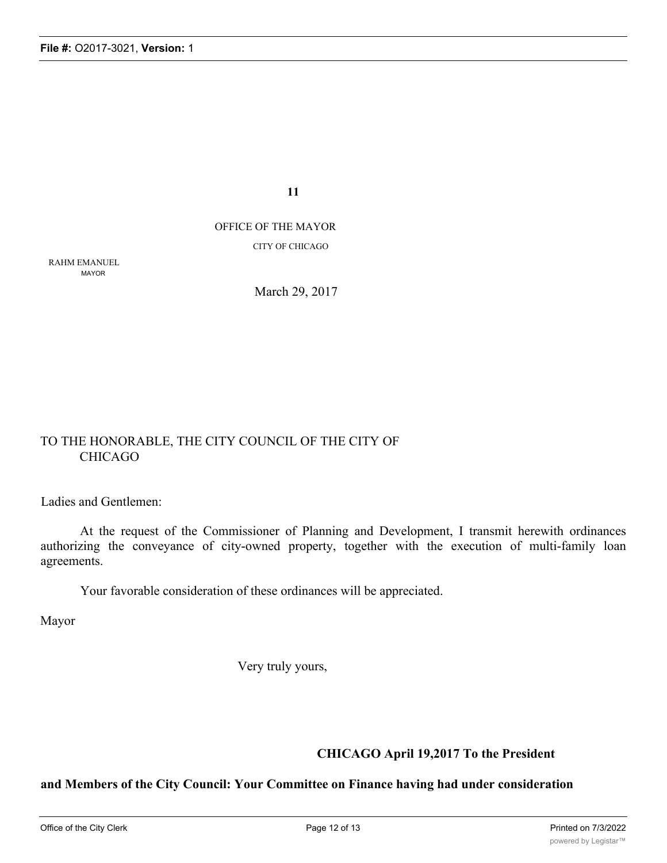**11**

## OFFICE OF THE MAYOR CITY OF CHICAGO

RAHM EMANUEL MAYOR

March 29, 2017

## TO THE HONORABLE, THE CITY COUNCIL OF THE CITY OF CHICAGO

Ladies and Gentlemen:

At the request of the Commissioner of Planning and Development, I transmit herewith ordinances authorizing the conveyance of city-owned property, together with the execution of multi-family loan agreements.

Your favorable consideration of these ordinances will be appreciated.

Mayor

Very truly yours,

## **CHICAGO April 19,2017 To the President**

## **and Members of the City Council: Your Committee on Finance having had under consideration**